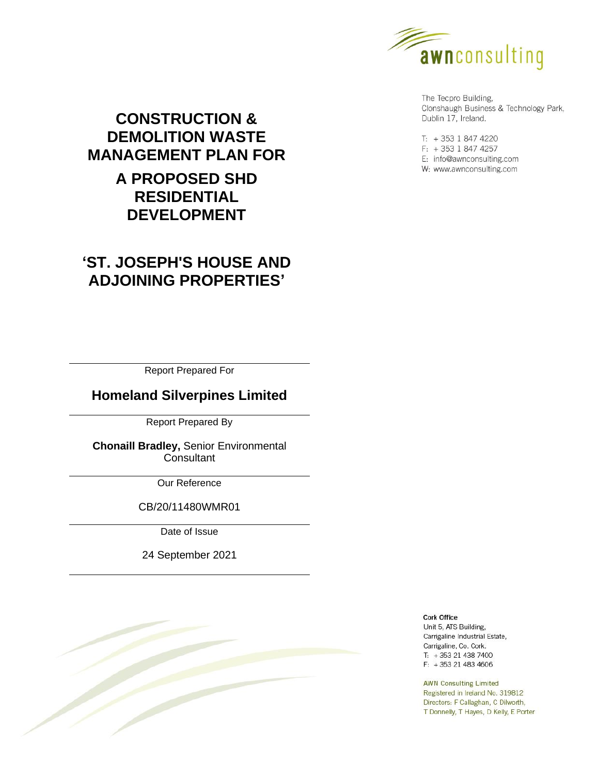

The Tecpro Building, Clonshaugh Business & Technology Park, Dublin 17, Ireland.

T: +353 1 847 4220  $F: +35318474257$ E: info@awnconsulting.com W: www.awnconsulting.com

# **CONSTRUCTION & DEMOLITION WASTE MANAGEMENT PLAN FOR A PROPOSED SHD RESIDENTIAL DEVELOPMENT**

# **'ST. JOSEPH'S HOUSE AND ADJOINING PROPERTIES'**

Report Prepared For

# **Homeland Silverpines Limited**

Report Prepared By

**Chonaill Bradley,** Senior Environmental Consultant

Our Reference

CB/20/11480WMR01

Date of Issue

24 September 2021



**Cork Office** Unit 5, ATS Building,

Carrigaline Industrial Estate, Carrigaline, Co. Cork.  $T: +353214387400$  $F: +353214834606$ 

**AWN Consulting Limited** Registered in Ireland No. 319812 Directors: F Callaghan, C Dilworth, T Donnelly, T Hayes, D Kelly, E Porter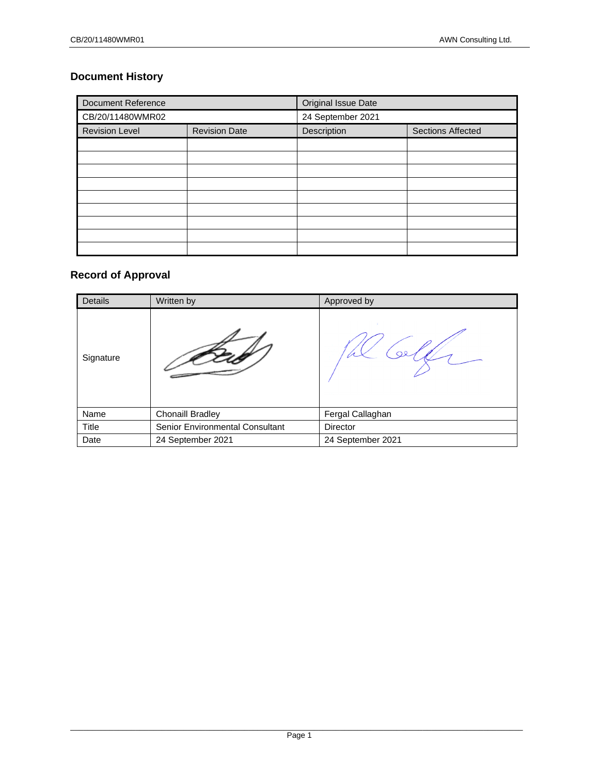# **Document History**

| <b>Document Reference</b>                     |  | Original Issue Date |                          |  |  |  |
|-----------------------------------------------|--|---------------------|--------------------------|--|--|--|
| CB/20/11480WMR02                              |  | 24 September 2021   |                          |  |  |  |
| <b>Revision Level</b><br><b>Revision Date</b> |  | Description         | <b>Sections Affected</b> |  |  |  |
|                                               |  |                     |                          |  |  |  |
|                                               |  |                     |                          |  |  |  |
|                                               |  |                     |                          |  |  |  |
|                                               |  |                     |                          |  |  |  |
|                                               |  |                     |                          |  |  |  |
|                                               |  |                     |                          |  |  |  |
|                                               |  |                     |                          |  |  |  |
|                                               |  |                     |                          |  |  |  |
|                                               |  |                     |                          |  |  |  |

# **Record of Approval**

| Details      | Written by                      | Approved by       |
|--------------|---------------------------------|-------------------|
| Signature    |                                 |                   |
| Name         | <b>Chonaill Bradley</b>         | Fergal Callaghan  |
| <b>Title</b> | Senior Environmental Consultant | <b>Director</b>   |
| Date         | 24 September 2021               | 24 September 2021 |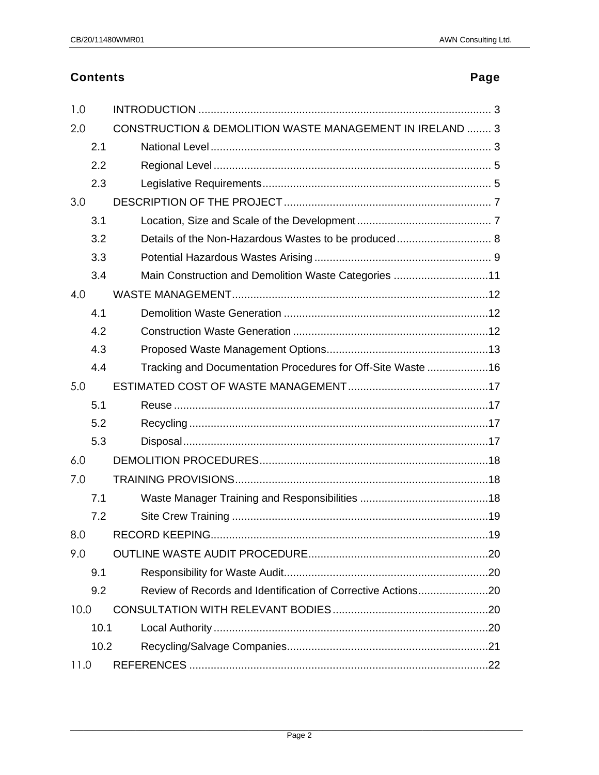# **Contents**

# Page

| 1.0  |      |                                                              |
|------|------|--------------------------------------------------------------|
| 2.0  |      | CONSTRUCTION & DEMOLITION WASTE MANAGEMENT IN IRELAND  3     |
|      | 2.1  |                                                              |
|      | 2.2  |                                                              |
|      | 2.3  |                                                              |
| 3.0  |      |                                                              |
|      | 3.1  |                                                              |
|      | 3.2  | Details of the Non-Hazardous Wastes to be produced 8         |
|      | 3.3  |                                                              |
|      | 3.4  | Main Construction and Demolition Waste Categories 11         |
| 4.0  |      |                                                              |
|      | 4.1  |                                                              |
|      | 4.2  |                                                              |
|      | 4.3  |                                                              |
|      | 4.4  | Tracking and Documentation Procedures for Off-Site Waste 16  |
| 5.0  |      |                                                              |
|      | 5.1  |                                                              |
|      | 5.2  |                                                              |
|      | 5.3  |                                                              |
| 6.0  |      |                                                              |
| 7.0  |      |                                                              |
|      | 7.1  |                                                              |
|      | 7.2  |                                                              |
| 8.0  |      |                                                              |
| 9.0  |      |                                                              |
|      | 9.1  |                                                              |
|      | 9.2  | Review of Records and Identification of Corrective Actions20 |
| 10.0 |      |                                                              |
|      | 10.1 |                                                              |
|      | 10.2 |                                                              |
| 11.0 |      |                                                              |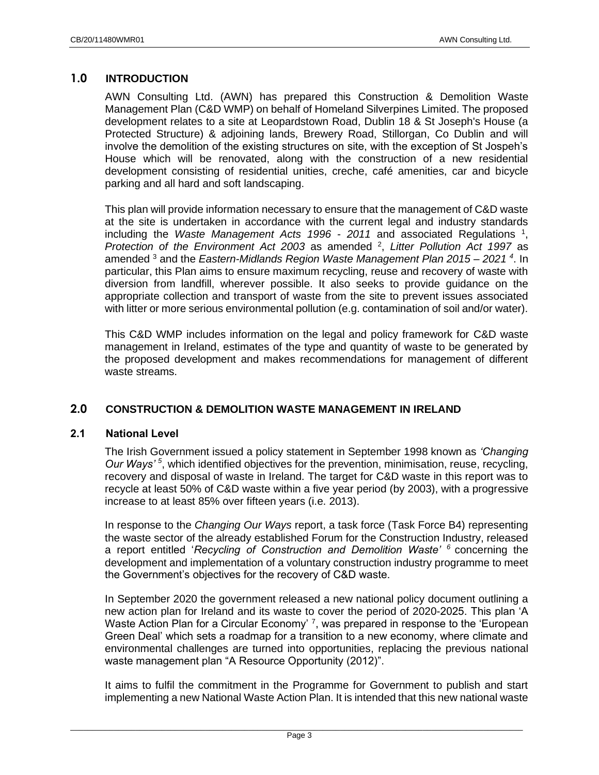# <span id="page-3-0"></span>**1.0 INTRODUCTION**

AWN Consulting Ltd. (AWN) has prepared this Construction & Demolition Waste Management Plan (C&D WMP) on behalf of Homeland Silverpines Limited. The proposed development relates to a site at Leopardstown Road, Dublin 18 & St Joseph's House (a Protected Structure) & adjoining lands, Brewery Road, Stillorgan, Co Dublin and will involve the demolition of the existing structures on site, with the exception of St Jospeh's House which will be renovated, along with the construction of a new residential development consisting of residential unities, creche, café amenities, car and bicycle parking and all hard and soft landscaping.

This plan will provide information necessary to ensure that the management of C&D waste at the site is undertaken in accordance with the current legal and industry standards including the *Waste Management Acts 1996 - 2011* and associated Regulations <sup>1</sup> , Protection of the Environment Act 2003 as amended <sup>2</sup>, Litter Pollution Act 1997 as amended <sup>3</sup> and the *Eastern-Midlands Region Waste Management Plan 2015 – 2021 <sup>4</sup>* . In particular, this Plan aims to ensure maximum recycling, reuse and recovery of waste with diversion from landfill, wherever possible. It also seeks to provide guidance on the appropriate collection and transport of waste from the site to prevent issues associated with litter or more serious environmental pollution (e.g. contamination of soil and/or water).

This C&D WMP includes information on the legal and policy framework for C&D waste management in Ireland, estimates of the type and quantity of waste to be generated by the proposed development and makes recommendations for management of different waste streams.

# <span id="page-3-1"></span>**2.0 CONSTRUCTION & DEMOLITION WASTE MANAGEMENT IN IRELAND**

# <span id="page-3-2"></span>**2.1 National Level**

The Irish Government issued a policy statement in September 1998 known as *'Changing Our Ways' <sup>5</sup>* , which identified objectives for the prevention, minimisation, reuse, recycling, recovery and disposal of waste in Ireland. The target for C&D waste in this report was to recycle at least 50% of C&D waste within a five year period (by 2003), with a progressive increase to at least 85% over fifteen years (i.e. 2013).

In response to the *Changing Our Ways* report, a task force (Task Force B4) representing the waste sector of the already established Forum for the Construction Industry, released a report entitled '*Recycling of Construction and Demolition Waste' <sup>6</sup>* concerning the development and implementation of a voluntary construction industry programme to meet the Government's objectives for the recovery of C&D waste.

In September 2020 the government released a new national policy document outlining a new action plan for Ireland and its waste to cover the period of 2020-2025. This plan 'A Waste Action Plan for a Circular Economy' <sup>7</sup>, was prepared in response to the 'European Green Deal' which sets a roadmap for a transition to a new economy, where climate and environmental challenges are turned into opportunities, replacing the previous national waste management plan "A Resource Opportunity (2012)".

It aims to fulfil the commitment in the Programme for Government to publish and start implementing a new National Waste Action Plan. It is intended that this new national waste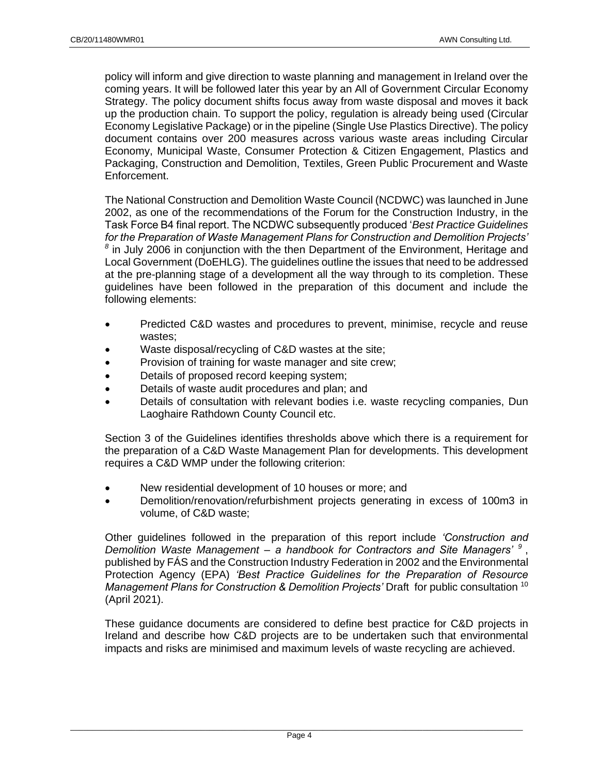policy will inform and give direction to waste planning and management in Ireland over the coming years. It will be followed later this year by an All of Government Circular Economy Strategy. The policy document shifts focus away from waste disposal and moves it back up the production chain. To support the policy, regulation is already being used (Circular Economy Legislative Package) or in the pipeline (Single Use Plastics Directive). The policy document contains over 200 measures across various waste areas including Circular Economy, Municipal Waste, Consumer Protection & Citizen Engagement, Plastics and Packaging, Construction and Demolition, Textiles, Green Public Procurement and Waste Enforcement.

The National Construction and Demolition Waste Council (NCDWC) was launched in June 2002, as one of the recommendations of the Forum for the Construction Industry, in the Task Force B4 final report. The NCDWC subsequently produced '*Best Practice Guidelines for the Preparation of Waste Management Plans for Construction and Demolition Projects'* <sup>8</sup> in July 2006 in conjunction with the then Department of the Environment, Heritage and Local Government (DoEHLG). The guidelines outline the issues that need to be addressed at the pre-planning stage of a development all the way through to its completion. These guidelines have been followed in the preparation of this document and include the following elements:

- Predicted C&D wastes and procedures to prevent, minimise, recycle and reuse wastes;
- Waste disposal/recycling of C&D wastes at the site;
- Provision of training for waste manager and site crew;
- Details of proposed record keeping system;
- Details of waste audit procedures and plan; and
- Details of consultation with relevant bodies i.e. waste recycling companies, Dun Laoghaire Rathdown County Council etc.

Section 3 of the Guidelines identifies thresholds above which there is a requirement for the preparation of a C&D Waste Management Plan for developments. This development requires a C&D WMP under the following criterion:

- New residential development of 10 houses or more; and
- Demolition/renovation/refurbishment projects generating in excess of 100m3 in volume, of C&D waste;

Other guidelines followed in the preparation of this report include *'Construction and Demolition Waste Management – a handbook for Contractors and Site Managers' <sup>9</sup>* , published by FÁS and the Construction Industry Federation in 2002 and the Environmental Protection Agency (EPA) *'Best Practice Guidelines for the Preparation of Resource Management Plans for Construction & Demolition Projects'* Draft for public consultation <sup>10</sup> (April 2021).

These guidance documents are considered to define best practice for C&D projects in Ireland and describe how C&D projects are to be undertaken such that environmental impacts and risks are minimised and maximum levels of waste recycling are achieved.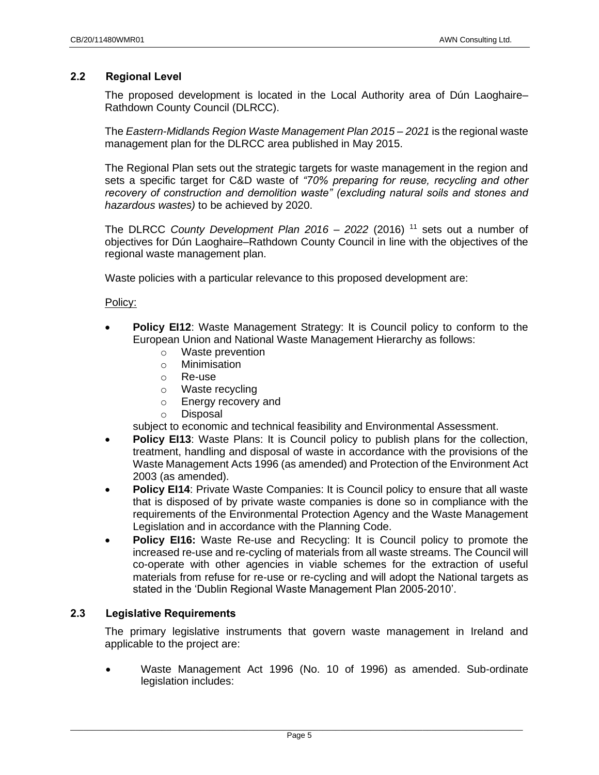### <span id="page-5-0"></span>**2.2 Regional Level**

The proposed development is located in the Local Authority area of Dún Laoghaire– Rathdown County Council (DLRCC).

The *Eastern-Midlands Region Waste Management Plan 2015 – 2021* is the regional waste management plan for the DLRCC area published in May 2015.

The Regional Plan sets out the strategic targets for waste management in the region and sets a specific target for C&D waste of *"70% preparing for reuse, recycling and other recovery of construction and demolition waste" (excluding natural soils and stones and hazardous wastes)* to be achieved by 2020.

The DLRCC *County Development Plan 2016 – 2022* (2016) <sup>11</sup> sets out a number of objectives for Dún Laoghaire–Rathdown County Council in line with the objectives of the regional waste management plan.

Waste policies with a particular relevance to this proposed development are:

#### Policy:

- **Policy EI12:** Waste Management Strategy: It is Council policy to conform to the European Union and National Waste Management Hierarchy as follows:
	- o Waste prevention
	- o Minimisation
	- o Re-use
	- o Waste recycling
	- o Energy recovery and
	- o Disposal

subject to economic and technical feasibility and Environmental Assessment.

- **Policy EI13:** Waste Plans: It is Council policy to publish plans for the collection, treatment, handling and disposal of waste in accordance with the provisions of the Waste Management Acts 1996 (as amended) and Protection of the Environment Act 2003 (as amended).
- **Policy EI14: Private Waste Companies: It is Council policy to ensure that all waste** that is disposed of by private waste companies is done so in compliance with the requirements of the Environmental Protection Agency and the Waste Management Legislation and in accordance with the Planning Code.
- **Policy EI16:** Waste Re-use and Recycling: It is Council policy to promote the increased re-use and re-cycling of materials from all waste streams. The Council will co-operate with other agencies in viable schemes for the extraction of useful materials from refuse for re-use or re-cycling and will adopt the National targets as stated in the 'Dublin Regional Waste Management Plan 2005-2010'.

# <span id="page-5-1"></span>**2.3 Legislative Requirements**

The primary legislative instruments that govern waste management in Ireland and applicable to the project are:

• Waste Management Act 1996 (No. 10 of 1996) as amended. Sub-ordinate legislation includes: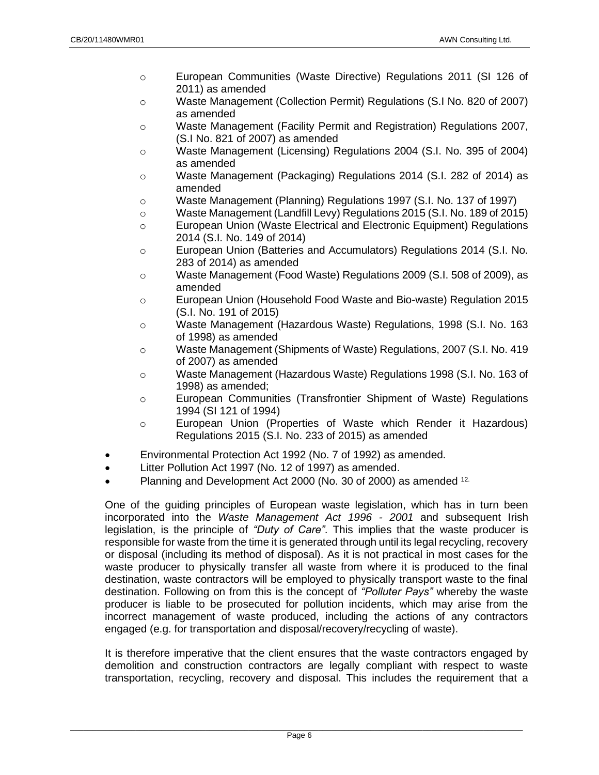- o European Communities (Waste Directive) Regulations 2011 (SI 126 of 2011) as amended
- o Waste Management (Collection Permit) Regulations (S.I No. 820 of 2007) as amended
- o Waste Management (Facility Permit and Registration) Regulations 2007, (S.I No. 821 of 2007) as amended
- o Waste Management (Licensing) Regulations 2004 (S.I. No. 395 of 2004) as amended
- o Waste Management (Packaging) Regulations 2014 (S.I. 282 of 2014) as amended
- o Waste Management (Planning) Regulations 1997 (S.I. No. 137 of 1997)
- o Waste Management (Landfill Levy) Regulations 2015 (S.I. No. 189 of 2015)
- o European Union (Waste Electrical and Electronic Equipment) Regulations 2014 (S.I. No. 149 of 2014)
- o European Union (Batteries and Accumulators) Regulations 2014 (S.I. No. 283 of 2014) as amended
- o Waste Management (Food Waste) Regulations 2009 (S.I. 508 of 2009), as amended
- o European Union (Household Food Waste and Bio-waste) Regulation 2015 (S.I. No. 191 of 2015)
- o Waste Management (Hazardous Waste) Regulations, 1998 (S.I. No. 163 of 1998) as amended
- o Waste Management (Shipments of Waste) Regulations, 2007 (S.I. No. 419 of 2007) as amended
- o Waste Management (Hazardous Waste) Regulations 1998 (S.I. No. 163 of 1998) as amended;
- o European Communities (Transfrontier Shipment of Waste) Regulations 1994 (SI 121 of 1994)
- o European Union (Properties of Waste which Render it Hazardous) Regulations 2015 (S.I. No. 233 of 2015) as amended
- Environmental Protection Act 1992 (No. 7 of 1992) as amended.
- Litter Pollution Act 1997 (No. 12 of 1997) as amended.
- Planning and Development Act 2000 (No. 30 of 2000) as amended <sup>12.</sup>

One of the guiding principles of European waste legislation, which has in turn been incorporated into the *Waste Management Act 1996 - 2001* and subsequent Irish legislation, is the principle of *"Duty of Care"*. This implies that the waste producer is responsible for waste from the time it is generated through until its legal recycling, recovery or disposal (including its method of disposal). As it is not practical in most cases for the waste producer to physically transfer all waste from where it is produced to the final destination, waste contractors will be employed to physically transport waste to the final destination. Following on from this is the concept of *"Polluter Pays"* whereby the waste producer is liable to be prosecuted for pollution incidents, which may arise from the incorrect management of waste produced, including the actions of any contractors engaged (e.g. for transportation and disposal/recovery/recycling of waste).

It is therefore imperative that the client ensures that the waste contractors engaged by demolition and construction contractors are legally compliant with respect to waste transportation, recycling, recovery and disposal. This includes the requirement that a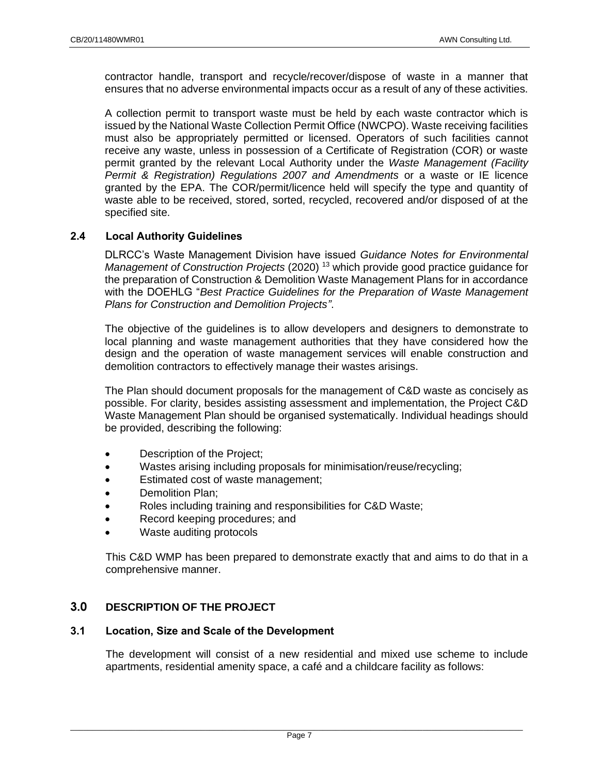contractor handle, transport and recycle/recover/dispose of waste in a manner that ensures that no adverse environmental impacts occur as a result of any of these activities.

A collection permit to transport waste must be held by each waste contractor which is issued by the National Waste Collection Permit Office (NWCPO). Waste receiving facilities must also be appropriately permitted or licensed. Operators of such facilities cannot receive any waste, unless in possession of a Certificate of Registration (COR) or waste permit granted by the relevant Local Authority under the *Waste Management (Facility Permit & Registration) Regulations 2007 and Amendments* or a waste or IE licence granted by the EPA. The COR/permit/licence held will specify the type and quantity of waste able to be received, stored, sorted, recycled, recovered and/or disposed of at the specified site.

# **2.4 Local Authority Guidelines**

DLRCC's Waste Management Division have issued *Guidance Notes for Environmental Management of Construction Projects* (2020) <sup>13</sup> which provide good practice guidance for the preparation of Construction & Demolition Waste Management Plans for in accordance with the DOEHLG "*Best Practice Guidelines for the Preparation of Waste Management Plans for Construction and Demolition Projects"*.

The objective of the guidelines is to allow developers and designers to demonstrate to local planning and waste management authorities that they have considered how the design and the operation of waste management services will enable construction and demolition contractors to effectively manage their wastes arisings.

The Plan should document proposals for the management of C&D waste as concisely as possible. For clarity, besides assisting assessment and implementation, the Project C&D Waste Management Plan should be organised systematically. Individual headings should be provided, describing the following:

- Description of the Project;
- Wastes arising including proposals for minimisation/reuse/recycling;
- Estimated cost of waste management:
- Demolition Plan:
- Roles including training and responsibilities for C&D Waste;
- Record keeping procedures; and
- <span id="page-7-0"></span>Waste auditing protocols

This C&D WMP has been prepared to demonstrate exactly that and aims to do that in a comprehensive manner.

# **3.0 DESCRIPTION OF THE PROJECT**

#### <span id="page-7-1"></span>**3.1 Location, Size and Scale of the Development**

The development will consist of a new residential and mixed use scheme to include apartments, residential amenity space, a café and a childcare facility as follows: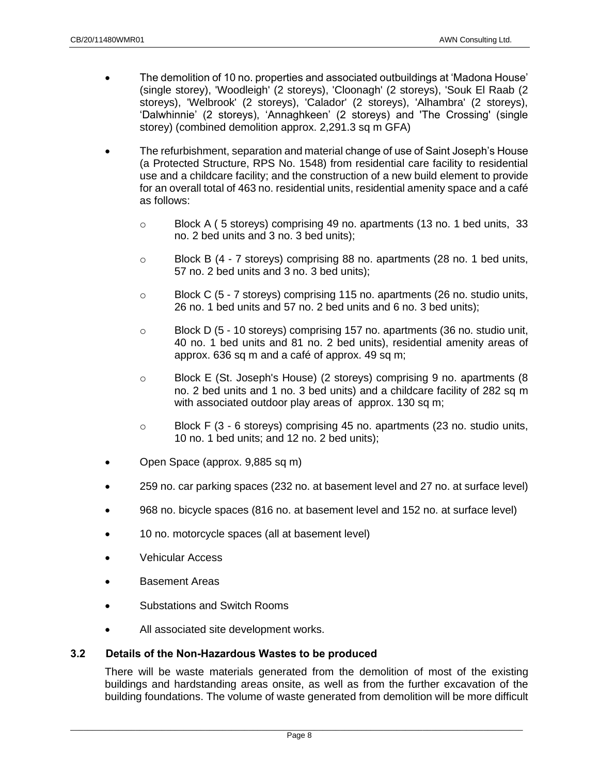- The demolition of 10 no. properties and associated outbuildings at 'Madona House' (single storey), 'Woodleigh' (2 storeys), 'Cloonagh' (2 storeys), 'Souk El Raab (2 storeys), 'Welbrook' (2 storeys), 'Calador' (2 storeys), 'Alhambra' (2 storeys), 'Dalwhinnie' (2 storeys), 'Annaghkeen' (2 storeys) and 'The Crossing' (single storey) (combined demolition approx. 2,291.3 sq m GFA)
- The refurbishment, separation and material change of use of Saint Joseph's House (a Protected Structure, RPS No. 1548) from residential care facility to residential use and a childcare facility; and the construction of a new build element to provide for an overall total of 463 no. residential units, residential amenity space and a café as follows:
	- o Block A ( 5 storeys) comprising 49 no. apartments (13 no. 1 bed units, 33 no. 2 bed units and 3 no. 3 bed units);
	- $\circ$  Block B (4 7 storeys) comprising 88 no. apartments (28 no. 1 bed units, 57 no. 2 bed units and 3 no. 3 bed units);
	- o Block C (5 7 storeys) comprising 115 no. apartments (26 no. studio units, 26 no. 1 bed units and 57 no. 2 bed units and 6 no. 3 bed units);
	- $\circ$  Block D (5 10 storeys) comprising 157 no. apartments (36 no. studio unit, 40 no. 1 bed units and 81 no. 2 bed units), residential amenity areas of approx. 636 sq m and a café of approx. 49 sq m;
	- o Block E (St. Joseph's House) (2 storeys) comprising 9 no. apartments (8 no. 2 bed units and 1 no. 3 bed units) and a childcare facility of 282 sq m with associated outdoor play areas of approx. 130 sq m;
	- $\circ$  Block F (3 6 storeys) comprising 45 no. apartments (23 no. studio units, 10 no. 1 bed units; and 12 no. 2 bed units);
- Open Space (approx. 9,885 sq m)
- 259 no. car parking spaces (232 no. at basement level and 27 no. at surface level)
- 968 no. bicycle spaces (816 no. at basement level and 152 no. at surface level)
- 10 no. motorcycle spaces (all at basement level)
- Vehicular Access
- Basement Areas
- Substations and Switch Rooms
- All associated site development works.

#### <span id="page-8-0"></span>**3.2 Details of the Non-Hazardous Wastes to be produced**

There will be waste materials generated from the demolition of most of the existing buildings and hardstanding areas onsite, as well as from the further excavation of the building foundations. The volume of waste generated from demolition will be more difficult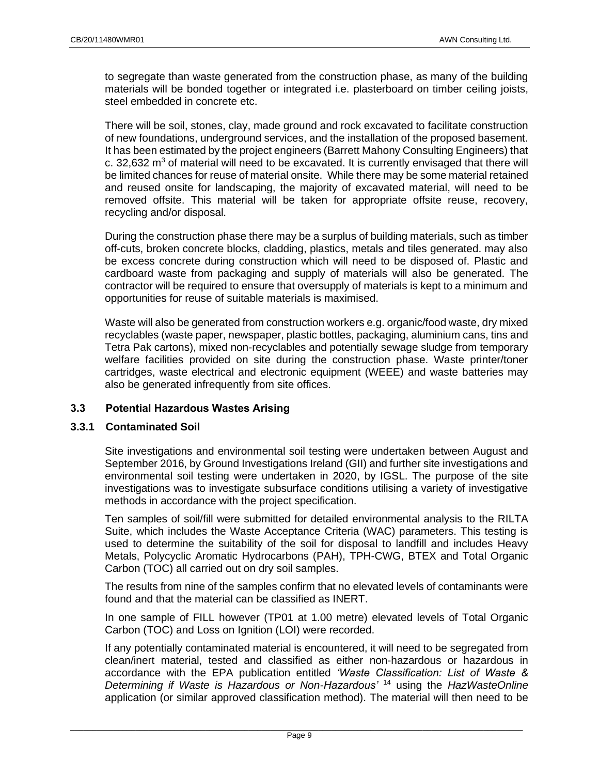to segregate than waste generated from the construction phase, as many of the building materials will be bonded together or integrated i.e. plasterboard on timber ceiling joists, steel embedded in concrete etc.

There will be soil, stones, clay, made ground and rock excavated to facilitate construction of new foundations, underground services, and the installation of the proposed basement. It has been estimated by the project engineers (Barrett Mahony Consulting Engineers) that c. 32,632  $\text{m}^3$  of material will need to be excavated. It is currently envisaged that there will be limited chances for reuse of material onsite. While there may be some material retained and reused onsite for landscaping, the majority of excavated material, will need to be removed offsite. This material will be taken for appropriate offsite reuse, recovery, recycling and/or disposal.

During the construction phase there may be a surplus of building materials, such as timber off-cuts, broken concrete blocks, cladding, plastics, metals and tiles generated. may also be excess concrete during construction which will need to be disposed of. Plastic and cardboard waste from packaging and supply of materials will also be generated. The contractor will be required to ensure that oversupply of materials is kept to a minimum and opportunities for reuse of suitable materials is maximised.

Waste will also be generated from construction workers e.g. organic/food waste, dry mixed recyclables (waste paper, newspaper, plastic bottles, packaging, aluminium cans, tins and Tetra Pak cartons), mixed non-recyclables and potentially sewage sludge from temporary welfare facilities provided on site during the construction phase. Waste printer/toner cartridges, waste electrical and electronic equipment (WEEE) and waste batteries may also be generated infrequently from site offices.

# <span id="page-9-0"></span>**3.3 Potential Hazardous Wastes Arising**

# **3.3.1 Contaminated Soil**

Site investigations and environmental soil testing were undertaken between August and September 2016, by Ground Investigations Ireland (GII) and further site investigations and environmental soil testing were undertaken in 2020, by IGSL. The purpose of the site investigations was to investigate subsurface conditions utilising a variety of investigative methods in accordance with the project specification.

Ten samples of soil/fill were submitted for detailed environmental analysis to the RILTA Suite, which includes the Waste Acceptance Criteria (WAC) parameters. This testing is used to determine the suitability of the soil for disposal to landfill and includes Heavy Metals, Polycyclic Aromatic Hydrocarbons (PAH), TPH-CWG, BTEX and Total Organic Carbon (TOC) all carried out on dry soil samples.

The results from nine of the samples confirm that no elevated levels of contaminants were found and that the material can be classified as INERT.

In one sample of FILL however (TP01 at 1.00 metre) elevated levels of Total Organic Carbon (TOC) and Loss on Ignition (LOI) were recorded.

If any potentially contaminated material is encountered, it will need to be segregated from clean/inert material, tested and classified as either non-hazardous or hazardous in accordance with the EPA publication entitled *'Waste Classification: List of Waste & Determining if Waste is Hazardous or Non-Hazardous'* <sup>14</sup> using the *HazWasteOnline* application (or similar approved classification method). The material will then need to be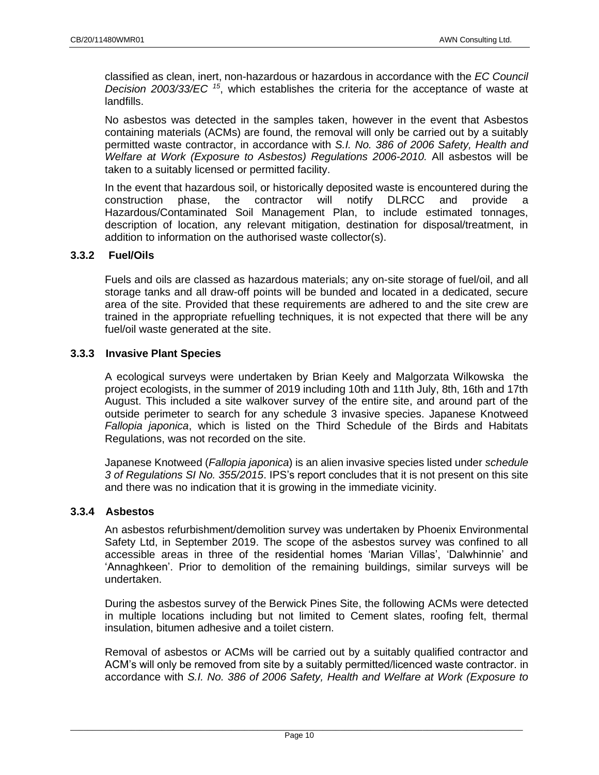classified as clean, inert, non-hazardous or hazardous in accordance with the *EC Council Decision 2003/33/EC <sup>15</sup>* , which establishes the criteria for the acceptance of waste at landfills.

No asbestos was detected in the samples taken, however in the event that Asbestos containing materials (ACMs) are found, the removal will only be carried out by a suitably permitted waste contractor, in accordance with *S.I. No. 386 of 2006 Safety, Health and Welfare at Work (Exposure to Asbestos) Regulations 2006-2010.* All asbestos will be taken to a suitably licensed or permitted facility.

In the event that hazardous soil, or historically deposited waste is encountered during the construction phase, the contractor will notify DLRCC and provide a Hazardous/Contaminated Soil Management Plan, to include estimated tonnages, description of location, any relevant mitigation, destination for disposal/treatment, in addition to information on the authorised waste collector(s).

#### **3.3.2 Fuel/Oils**

Fuels and oils are classed as hazardous materials; any on-site storage of fuel/oil, and all storage tanks and all draw-off points will be bunded and located in a dedicated, secure area of the site. Provided that these requirements are adhered to and the site crew are trained in the appropriate refuelling techniques, it is not expected that there will be any fuel/oil waste generated at the site.

#### **3.3.3 Invasive Plant Species**

A ecological surveys were undertaken by Brian Keely and Malgorzata Wilkowska the project ecologists, in the summer of 2019 including 10th and 11th July, 8th, 16th and 17th August. This included a site walkover survey of the entire site, and around part of the outside perimeter to search for any schedule 3 invasive species. Japanese Knotweed *Fallopia japonica*, which is listed on the Third Schedule of the Birds and Habitats Regulations, was not recorded on the site.

Japanese Knotweed (*Fallopia japonica*) is an alien invasive species listed under *schedule 3 of Regulations SI No. 355/2015*. IPS's report concludes that it is not present on this site and there was no indication that it is growing in the immediate vicinity.

#### **3.3.4 Asbestos**

An asbestos refurbishment/demolition survey was undertaken by Phoenix Environmental Safety Ltd, in September 2019. The scope of the asbestos survey was confined to all accessible areas in three of the residential homes 'Marian Villas', 'Dalwhinnie' and 'Annaghkeen'. Prior to demolition of the remaining buildings, similar surveys will be undertaken.

During the asbestos survey of the Berwick Pines Site, the following ACMs were detected in multiple locations including but not limited to Cement slates, roofing felt, thermal insulation, bitumen adhesive and a toilet cistern.

Removal of asbestos or ACMs will be carried out by a suitably qualified contractor and ACM's will only be removed from site by a suitably permitted/licenced waste contractor. in accordance with *S.I. No. 386 of 2006 Safety, Health and Welfare at Work (Exposure to*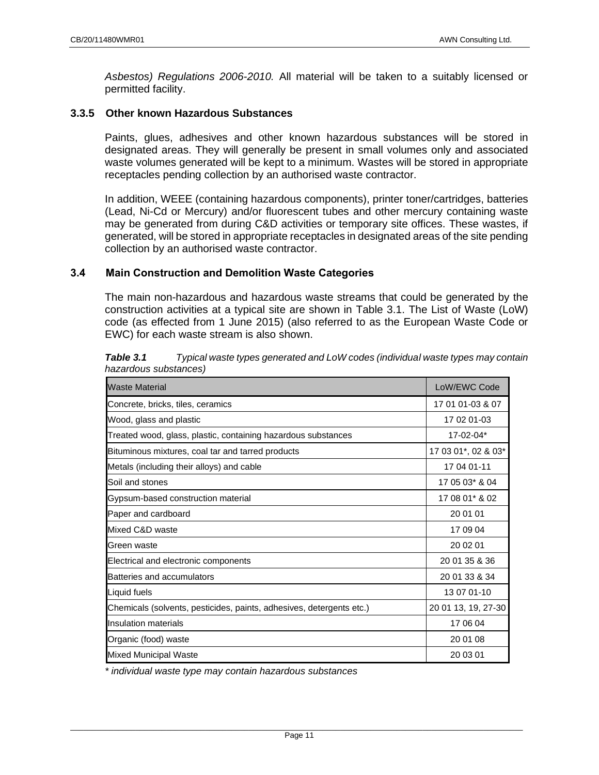*Asbestos) Regulations 2006-2010.* All material will be taken to a suitably licensed or permitted facility.

#### **3.3.5 Other known Hazardous Substances**

Paints, glues, adhesives and other known hazardous substances will be stored in designated areas. They will generally be present in small volumes only and associated waste volumes generated will be kept to a minimum. Wastes will be stored in appropriate receptacles pending collection by an authorised waste contractor.

In addition, WEEE (containing hazardous components), printer toner/cartridges, batteries (Lead, Ni-Cd or Mercury) and/or fluorescent tubes and other mercury containing waste may be generated from during C&D activities or temporary site offices. These wastes, if generated, will be stored in appropriate receptacles in designated areas of the site pending collection by an authorised waste contractor.

#### <span id="page-11-0"></span>**3.4 Main Construction and Demolition Waste Categories**

The main non-hazardous and hazardous waste streams that could be generated by the construction activities at a typical site are shown in [Table 3.1.](#page-11-1) The List of Waste (LoW) code (as effected from 1 June 2015) (also referred to as the European Waste Code or EWC) for each waste stream is also shown.

<span id="page-11-1"></span>

| Table 3.1             | Typical waste types generated and LoW codes (individual waste types may contain |
|-----------------------|---------------------------------------------------------------------------------|
| hazardous substances) |                                                                                 |

| <b>Waste Material</b>                                                | LoW/EWC Code        |  |  |
|----------------------------------------------------------------------|---------------------|--|--|
| Concrete, bricks, tiles, ceramics                                    | 17 01 01-03 & 07    |  |  |
| Wood, glass and plastic                                              | 17 02 01-03         |  |  |
| Treated wood, glass, plastic, containing hazardous substances        | 17-02-04*           |  |  |
| Bituminous mixtures, coal tar and tarred products                    | 17 03 01*, 02 & 03* |  |  |
| Metals (including their alloys) and cable                            | 17 04 01-11         |  |  |
| Soil and stones                                                      | 17 05 03* & 04      |  |  |
| Gypsum-based construction material                                   | 17 08 01* & 02      |  |  |
| Paper and cardboard                                                  | 20 01 01            |  |  |
| Mixed C&D waste                                                      | 17 09 04            |  |  |
| Green waste                                                          | 20 02 01            |  |  |
| Electrical and electronic components                                 | 20 01 35 & 36       |  |  |
| Batteries and accumulators                                           | 20 01 33 & 34       |  |  |
| Liquid fuels                                                         | 13 07 01-10         |  |  |
| Chemicals (solvents, pesticides, paints, adhesives, detergents etc.) | 20 01 13, 19, 27-30 |  |  |
| <b>Insulation materials</b>                                          | 17 06 04            |  |  |
| Organic (food) waste                                                 | 20 01 08            |  |  |
| <b>Mixed Municipal Waste</b>                                         | 20 03 01            |  |  |

*\* individual waste type may contain hazardous substances*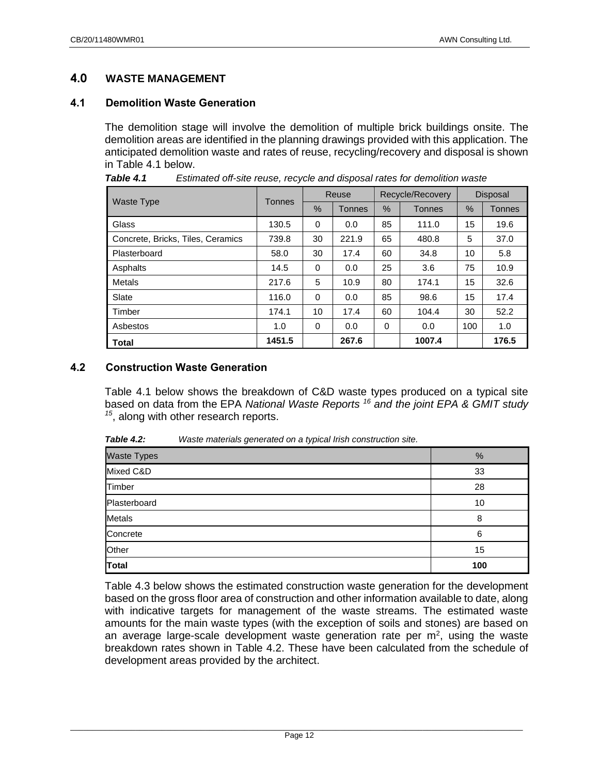# <span id="page-12-0"></span>**4.0 WASTE MANAGEMENT**

# <span id="page-12-1"></span>**4.1 Demolition Waste Generation**

The demolition stage will involve the demolition of multiple brick buildings onsite. The demolition areas are identified in the planning drawings provided with this application. The anticipated demolition waste and rates of reuse, recycling/recovery and disposal is shown in [Table 4.1](#page-12-3) below.

|                                   | Reuse         |          | Recycle/Recovery |               | <b>Disposal</b> |      |        |
|-----------------------------------|---------------|----------|------------------|---------------|-----------------|------|--------|
| <b>Waste Type</b>                 | <b>Tonnes</b> | $\%$     | <b>Tonnes</b>    | $\frac{0}{0}$ | <b>Tonnes</b>   | $\%$ | Tonnes |
| Glass                             | 130.5         | $\Omega$ | 0.0              | 85            | 111.0           | 15   | 19.6   |
| Concrete, Bricks, Tiles, Ceramics | 739.8         | 30       | 221.9            | 65            | 480.8           | 5    | 37.0   |
| Plasterboard                      | 58.0          | 30       | 17.4             | 60            | 34.8            | 10   | 5.8    |
| Asphalts                          | 14.5          | $\Omega$ | 0.0              | 25            | 3.6             | 75   | 10.9   |
| Metals                            | 217.6         | 5        | 10.9             | 80            | 174.1           | 15   | 32.6   |
| Slate                             | 116.0         | $\Omega$ | 0.0              | 85            | 98.6            | 15   | 17.4   |
| Timber                            | 174.1         | 10       | 17.4             | 60            | 104.4           | 30   | 52.2   |
| Asbestos                          | 1.0           | 0        | 0.0              | 0             | 0.0             | 100  | 1.0    |
| <b>Total</b>                      | 1451.5        |          | 267.6            |               | 1007.4          |      | 176.5  |

<span id="page-12-3"></span>*Table 4.1 Estimated off-site reuse, recycle and disposal rates for demolition waste*

### <span id="page-12-2"></span>**4.2 Construction Waste Generation**

Table 4.1 below shows the breakdown of C&D waste types produced on a typical site based on data from the EPA *National Waste Reports <sup>16</sup> and the joint EPA & GMIT study 15* , along with other research reports.

| <b>Table 4.2:</b> | Waste materials generated on a typical Irish construction site. |  |
|-------------------|-----------------------------------------------------------------|--|
|-------------------|-----------------------------------------------------------------|--|

| Waste Types  | %   |
|--------------|-----|
| Mixed C&D    | 33  |
| Timber       | 28  |
| Plasterboard | 10  |
| Metals       | 8   |
| Concrete     | 6   |
| Other        | 15  |
| Total        | 100 |

Table 4.3 below shows the estimated construction waste generation for the development based on the gross floor area of construction and other information available to date, along with indicative targets for management of the waste streams. The estimated waste amounts for the main waste types (with the exception of soils and stones) are based on an average large-scale development waste generation rate per  $m^2$ , using the waste breakdown rates shown in Table 4.2. These have been calculated from the schedule of development areas provided by the architect.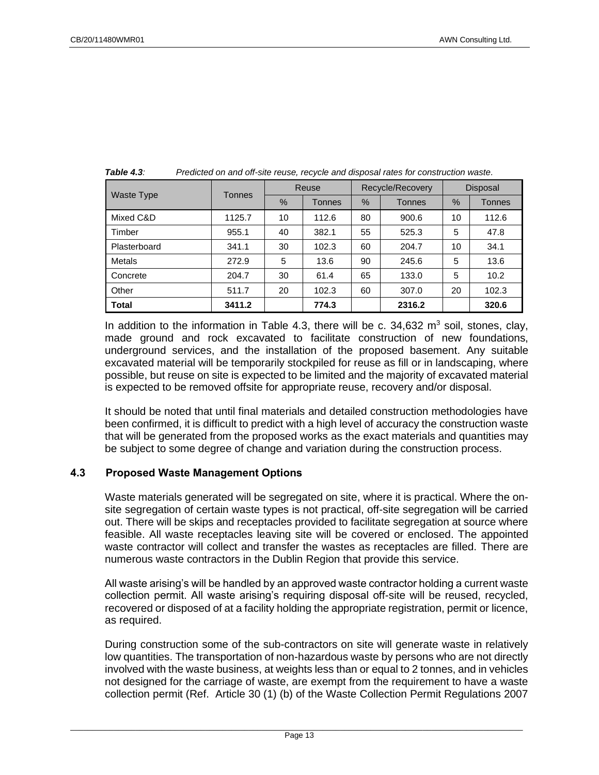|                   | <b>Tonnes</b> |    | Reuse         |      | Recycle/Recovery | Disposal |               |  |
|-------------------|---------------|----|---------------|------|------------------|----------|---------------|--|
| <b>Waste Type</b> |               | %  | <b>Tonnes</b> | $\%$ | <b>Tonnes</b>    | %        | <b>Tonnes</b> |  |
| Mixed C&D         | 1125.7        | 10 | 112.6         | 80   | 900.6            | 10       | 112.6         |  |
| Timber            | 955.1         | 40 | 382.1         | 55   | 525.3            | 5        | 47.8          |  |
| Plasterboard      | 341.1         | 30 | 102.3         | 60   | 204.7            | 10       | 34.1          |  |
| Metals            | 272.9         | 5  | 13.6          | 90   | 245.6            | 5        | 13.6          |  |
| Concrete          | 204.7         | 30 | 61.4          | 65   | 133.0            | 5        | 10.2          |  |
| Other             | 511.7         | 20 | 102.3         | 60   | 307.0            | 20       | 102.3         |  |
| <b>Total</b>      | 3411.2        |    | 774.3         |      | 2316.2           |          | 320.6         |  |

*Table 4.3: Predicted on and off-site reuse, recycle and disposal rates for construction waste.*

In addition to the information in Table 4.3, there will be c.  $34,632$  m<sup>3</sup> soil, stones, clay, made ground and rock excavated to facilitate construction of new foundations, underground services, and the installation of the proposed basement. Any suitable excavated material will be temporarily stockpiled for reuse as fill or in landscaping, where possible, but reuse on site is expected to be limited and the majority of excavated material is expected to be removed offsite for appropriate reuse, recovery and/or disposal.

It should be noted that until final materials and detailed construction methodologies have been confirmed, it is difficult to predict with a high level of accuracy the construction waste that will be generated from the proposed works as the exact materials and quantities may be subject to some degree of change and variation during the construction process.

# <span id="page-13-0"></span>**4.3 Proposed Waste Management Options**

Waste materials generated will be segregated on site, where it is practical. Where the onsite segregation of certain waste types is not practical, off-site segregation will be carried out. There will be skips and receptacles provided to facilitate segregation at source where feasible. All waste receptacles leaving site will be covered or enclosed. The appointed waste contractor will collect and transfer the wastes as receptacles are filled. There are numerous waste contractors in the Dublin Region that provide this service.

All waste arising's will be handled by an approved waste contractor holding a current waste collection permit. All waste arising's requiring disposal off-site will be reused, recycled, recovered or disposed of at a facility holding the appropriate registration, permit or licence, as required.

During construction some of the sub-contractors on site will generate waste in relatively low quantities. The transportation of non-hazardous waste by persons who are not directly involved with the waste business, at weights less than or equal to 2 tonnes, and in vehicles not designed for the carriage of waste, are exempt from the requirement to have a waste collection permit (Ref. Article 30 (1) (b) of the Waste Collection Permit Regulations 2007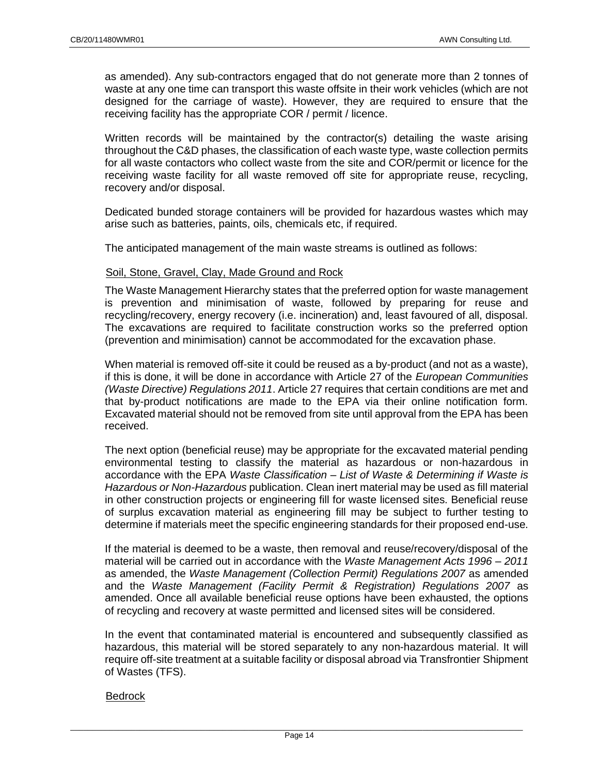as amended). Any sub-contractors engaged that do not generate more than 2 tonnes of waste at any one time can transport this waste offsite in their work vehicles (which are not designed for the carriage of waste). However, they are required to ensure that the receiving facility has the appropriate COR / permit / licence.

Written records will be maintained by the contractor(s) detailing the waste arising throughout the C&D phases, the classification of each waste type, waste collection permits for all waste contactors who collect waste from the site and COR/permit or licence for the receiving waste facility for all waste removed off site for appropriate reuse, recycling, recovery and/or disposal.

Dedicated bunded storage containers will be provided for hazardous wastes which may arise such as batteries, paints, oils, chemicals etc, if required.

The anticipated management of the main waste streams is outlined as follows:

#### Soil, Stone, Gravel, Clay, Made Ground and Rock

The Waste Management Hierarchy states that the preferred option for waste management is prevention and minimisation of waste, followed by preparing for reuse and recycling/recovery, energy recovery (i.e. incineration) and, least favoured of all, disposal. The excavations are required to facilitate construction works so the preferred option (prevention and minimisation) cannot be accommodated for the excavation phase.

When material is removed off-site it could be reused as a by-product (and not as a waste), if this is done, it will be done in accordance with Article 27 of the *European Communities (Waste Directive) Regulations 2011*. Article 27 requires that certain conditions are met and that by-product notifications are made to the EPA via their online notification form. Excavated material should not be removed from site until approval from the EPA has been received.

The next option (beneficial reuse) may be appropriate for the excavated material pending environmental testing to classify the material as hazardous or non-hazardous in accordance with the EPA *Waste Classification – List of Waste & Determining if Waste is Hazardous or Non-Hazardous* publication. Clean inert material may be used as fill material in other construction projects or engineering fill for waste licensed sites. Beneficial reuse of surplus excavation material as engineering fill may be subject to further testing to determine if materials meet the specific engineering standards for their proposed end-use.

If the material is deemed to be a waste, then removal and reuse/recovery/disposal of the material will be carried out in accordance with the *Waste Management Acts 1996 – 2011*  as amended, the *Waste Management (Collection Permit) Regulations 2007* as amended and the *Waste Management (Facility Permit & Registration) Regulations 2007* as amended. Once all available beneficial reuse options have been exhausted, the options of recycling and recovery at waste permitted and licensed sites will be considered.

In the event that contaminated material is encountered and subsequently classified as hazardous, this material will be stored separately to any non-hazardous material. It will require off-site treatment at a suitable facility or disposal abroad via Transfrontier Shipment of Wastes (TFS).

#### Bedrock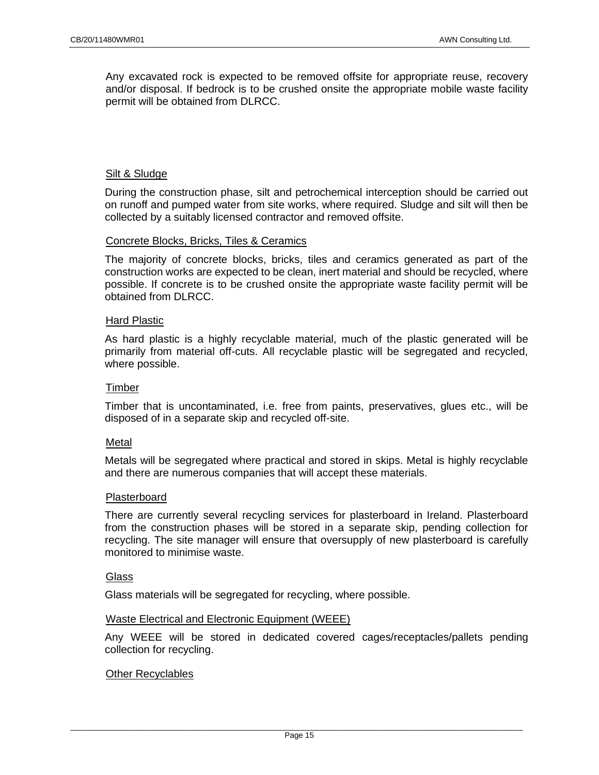Any excavated rock is expected to be removed offsite for appropriate reuse, recovery and/or disposal. If bedrock is to be crushed onsite the appropriate mobile waste facility permit will be obtained from DLRCC.

#### Silt & Sludge

During the construction phase, silt and petrochemical interception should be carried out on runoff and pumped water from site works, where required. Sludge and silt will then be collected by a suitably licensed contractor and removed offsite.

#### Concrete Blocks, Bricks, Tiles & Ceramics

The majority of concrete blocks, bricks, tiles and ceramics generated as part of the construction works are expected to be clean, inert material and should be recycled, where possible. If concrete is to be crushed onsite the appropriate waste facility permit will be obtained from DLRCC.

#### Hard Plastic

As hard plastic is a highly recyclable material, much of the plastic generated will be primarily from material off-cuts. All recyclable plastic will be segregated and recycled, where possible.

#### **Timber**

Timber that is uncontaminated, i.e. free from paints, preservatives, glues etc., will be disposed of in a separate skip and recycled off-site.

#### **Metal**

Metals will be segregated where practical and stored in skips. Metal is highly recyclable and there are numerous companies that will accept these materials.

#### Plasterboard

There are currently several recycling services for plasterboard in Ireland. Plasterboard from the construction phases will be stored in a separate skip, pending collection for recycling. The site manager will ensure that oversupply of new plasterboard is carefully monitored to minimise waste.

#### **Glass**

Glass materials will be segregated for recycling, where possible.

#### Waste Electrical and Electronic Equipment (WEEE)

Any WEEE will be stored in dedicated covered cages/receptacles/pallets pending collection for recycling.

#### Other Recyclables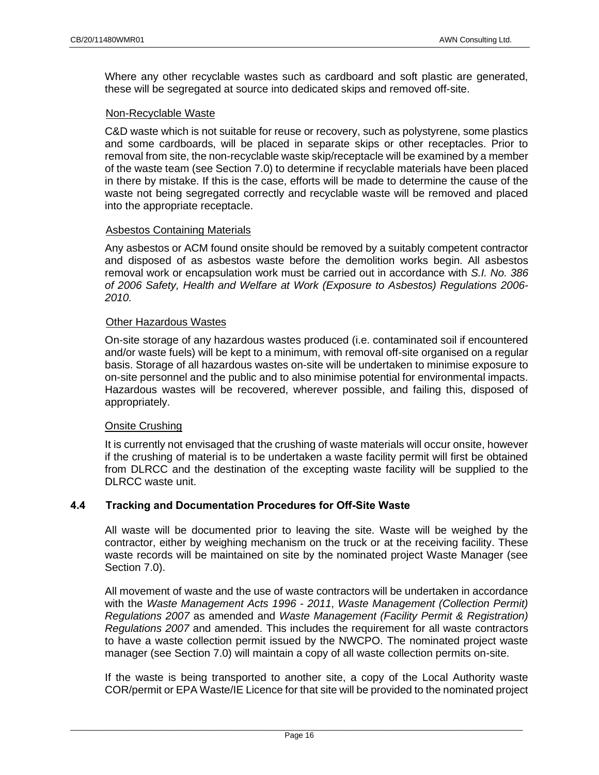Where any other recyclable wastes such as cardboard and soft plastic are generated, these will be segregated at source into dedicated skips and removed off-site.

#### Non-Recyclable Waste

C&D waste which is not suitable for reuse or recovery, such as polystyrene, some plastics and some cardboards, will be placed in separate skips or other receptacles. Prior to removal from site, the non-recyclable waste skip/receptacle will be examined by a member of the waste team (see Section [7.0\)](#page-18-1) to determine if recyclable materials have been placed in there by mistake. If this is the case, efforts will be made to determine the cause of the waste not being segregated correctly and recyclable waste will be removed and placed into the appropriate receptacle.

### Asbestos Containing Materials

Any asbestos or ACM found onsite should be removed by a suitably competent contractor and disposed of as asbestos waste before the demolition works begin. All asbestos removal work or encapsulation work must be carried out in accordance with *S.I. No. 386 of 2006 Safety, Health and Welfare at Work (Exposure to Asbestos) Regulations 2006- 2010.*

#### Other Hazardous Wastes

On-site storage of any hazardous wastes produced (i.e. contaminated soil if encountered and/or waste fuels) will be kept to a minimum, with removal off-site organised on a regular basis. Storage of all hazardous wastes on-site will be undertaken to minimise exposure to on-site personnel and the public and to also minimise potential for environmental impacts. Hazardous wastes will be recovered, wherever possible, and failing this, disposed of appropriately.

#### Onsite Crushing

It is currently not envisaged that the crushing of waste materials will occur onsite, however if the crushing of material is to be undertaken a waste facility permit will first be obtained from DLRCC and the destination of the excepting waste facility will be supplied to the DLRCC waste unit.

# <span id="page-16-0"></span>**4.4 Tracking and Documentation Procedures for Off-Site Waste**

All waste will be documented prior to leaving the site. Waste will be weighed by the contractor, either by weighing mechanism on the truck or at the receiving facility. These waste records will be maintained on site by the nominated project Waste Manager (see Section [7.0\)](#page-18-1).

All movement of waste and the use of waste contractors will be undertaken in accordance with the *Waste Management Acts 1996 - 2011*, *Waste Management (Collection Permit) Regulations 2007* as amended and *Waste Management (Facility Permit & Registration) Regulations 2007* and amended. This includes the requirement for all waste contractors to have a waste collection permit issued by the NWCPO. The nominated project waste manager (see Section [7.0\)](#page-18-1) will maintain a copy of all waste collection permits on-site.

If the waste is being transported to another site, a copy of the Local Authority waste COR/permit or EPA Waste/IE Licence for that site will be provided to the nominated project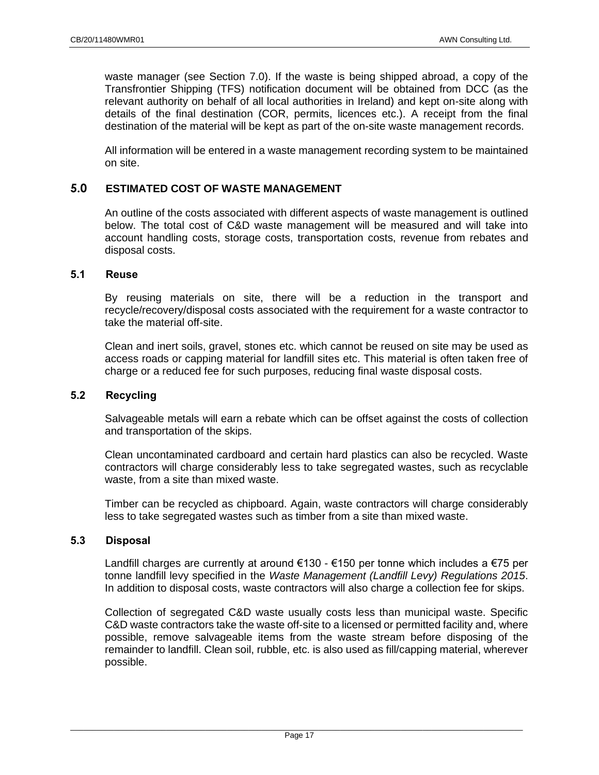waste manager (see Section [7.0\)](#page-18-1). If the waste is being shipped abroad, a copy of the Transfrontier Shipping (TFS) notification document will be obtained from DCC (as the relevant authority on behalf of all local authorities in Ireland) and kept on-site along with details of the final destination (COR, permits, licences etc.). A receipt from the final destination of the material will be kept as part of the on-site waste management records.

All information will be entered in a waste management recording system to be maintained on site.

# <span id="page-17-0"></span>**5.0 ESTIMATED COST OF WASTE MANAGEMENT**

An outline of the costs associated with different aspects of waste management is outlined below. The total cost of C&D waste management will be measured and will take into account handling costs, storage costs, transportation costs, revenue from rebates and disposal costs.

### <span id="page-17-1"></span>**5.1 Reuse**

By reusing materials on site, there will be a reduction in the transport and recycle/recovery/disposal costs associated with the requirement for a waste contractor to take the material off-site.

Clean and inert soils, gravel, stones etc. which cannot be reused on site may be used as access roads or capping material for landfill sites etc. This material is often taken free of charge or a reduced fee for such purposes, reducing final waste disposal costs.

#### <span id="page-17-2"></span>**5.2 Recycling**

Salvageable metals will earn a rebate which can be offset against the costs of collection and transportation of the skips.

Clean uncontaminated cardboard and certain hard plastics can also be recycled. Waste contractors will charge considerably less to take segregated wastes, such as recyclable waste, from a site than mixed waste.

Timber can be recycled as chipboard. Again, waste contractors will charge considerably less to take segregated wastes such as timber from a site than mixed waste.

# <span id="page-17-3"></span>**5.3 Disposal**

Landfill charges are currently at around €130 - €150 per tonne which includes a €75 per tonne landfill levy specified in the *Waste Management (Landfill Levy) Regulations 2015*. In addition to disposal costs, waste contractors will also charge a collection fee for skips.

Collection of segregated C&D waste usually costs less than municipal waste. Specific C&D waste contractors take the waste off-site to a licensed or permitted facility and, where possible, remove salvageable items from the waste stream before disposing of the remainder to landfill. Clean soil, rubble, etc. is also used as fill/capping material, wherever possible.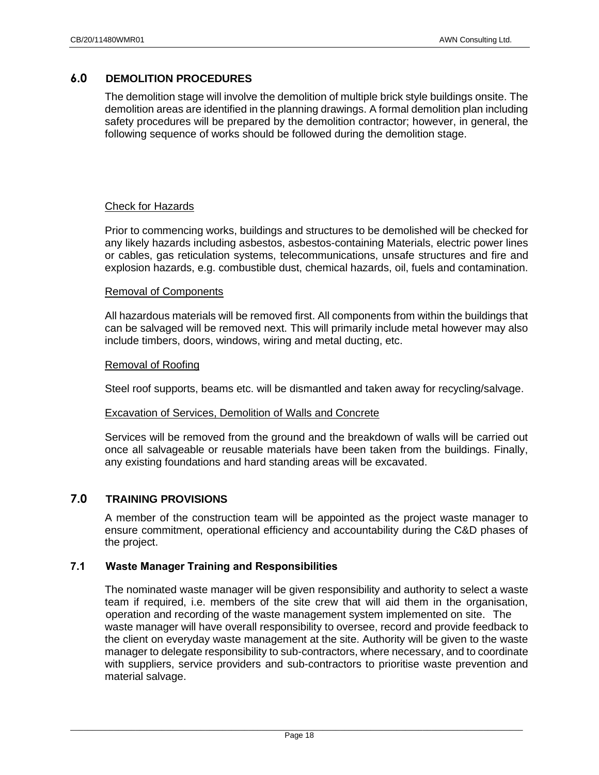# <span id="page-18-0"></span>**6.0 DEMOLITION PROCEDURES**

The demolition stage will involve the demolition of multiple brick style buildings onsite. The demolition areas are identified in the planning drawings. A formal demolition plan including safety procedures will be prepared by the demolition contractor; however, in general, the following sequence of works should be followed during the demolition stage.

#### Check for Hazards

Prior to commencing works, buildings and structures to be demolished will be checked for any likely hazards including asbestos, asbestos-containing Materials, electric power lines or cables, gas reticulation systems, telecommunications, unsafe structures and fire and explosion hazards, e.g. combustible dust, chemical hazards, oil, fuels and contamination.

#### Removal of Components

All hazardous materials will be removed first. All components from within the buildings that can be salvaged will be removed next. This will primarily include metal however may also include timbers, doors, windows, wiring and metal ducting, etc.

#### Removal of Roofing

Steel roof supports, beams etc. will be dismantled and taken away for recycling/salvage.

#### Excavation of Services, Demolition of Walls and Concrete

Services will be removed from the ground and the breakdown of walls will be carried out once all salvageable or reusable materials have been taken from the buildings. Finally, any existing foundations and hard standing areas will be excavated.

#### <span id="page-18-1"></span>**7.0 TRAINING PROVISIONS**

A member of the construction team will be appointed as the project waste manager to ensure commitment, operational efficiency and accountability during the C&D phases of the project.

#### <span id="page-18-2"></span>**7.1 Waste Manager Training and Responsibilities**

The nominated waste manager will be given responsibility and authority to select a waste team if required, i.e. members of the site crew that will aid them in the organisation, operation and recording of the waste management system implemented on site. The waste manager will have overall responsibility to oversee, record and provide feedback to the client on everyday waste management at the site. Authority will be given to the waste manager to delegate responsibility to sub-contractors, where necessary, and to coordinate with suppliers, service providers and sub-contractors to prioritise waste prevention and material salvage.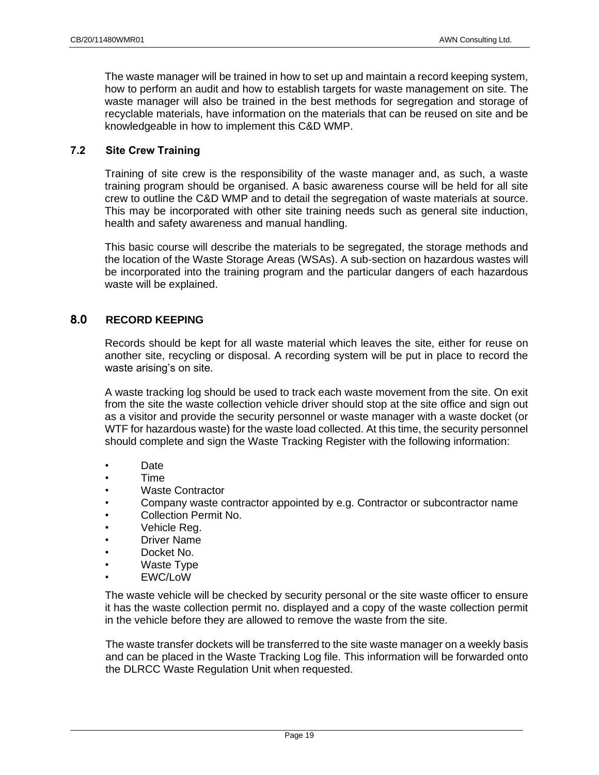The waste manager will be trained in how to set up and maintain a record keeping system, how to perform an audit and how to establish targets for waste management on site. The waste manager will also be trained in the best methods for segregation and storage of recyclable materials, have information on the materials that can be reused on site and be knowledgeable in how to implement this C&D WMP.

### <span id="page-19-0"></span>**7.2 Site Crew Training**

Training of site crew is the responsibility of the waste manager and, as such, a waste training program should be organised. A basic awareness course will be held for all site crew to outline the C&D WMP and to detail the segregation of waste materials at source. This may be incorporated with other site training needs such as general site induction, health and safety awareness and manual handling.

This basic course will describe the materials to be segregated, the storage methods and the location of the Waste Storage Areas (WSAs). A sub-section on hazardous wastes will be incorporated into the training program and the particular dangers of each hazardous waste will be explained.

# <span id="page-19-1"></span>**8.0 RECORD KEEPING**

Records should be kept for all waste material which leaves the site, either for reuse on another site, recycling or disposal. A recording system will be put in place to record the waste arising's on site.

A waste tracking log should be used to track each waste movement from the site. On exit from the site the waste collection vehicle driver should stop at the site office and sign out as a visitor and provide the security personnel or waste manager with a waste docket (or WTF for hazardous waste) for the waste load collected. At this time, the security personnel should complete and sign the Waste Tracking Register with the following information:

- Date
- Time
- Waste Contractor
- Company waste contractor appointed by e.g. Contractor or subcontractor name
- Collection Permit No.
- Vehicle Reg.
- Driver Name
- Docket No.
- Waste Type
- EWC/LoW

The waste vehicle will be checked by security personal or the site waste officer to ensure it has the waste collection permit no. displayed and a copy of the waste collection permit in the vehicle before they are allowed to remove the waste from the site.

The waste transfer dockets will be transferred to the site waste manager on a weekly basis and can be placed in the Waste Tracking Log file. This information will be forwarded onto the DLRCC Waste Regulation Unit when requested.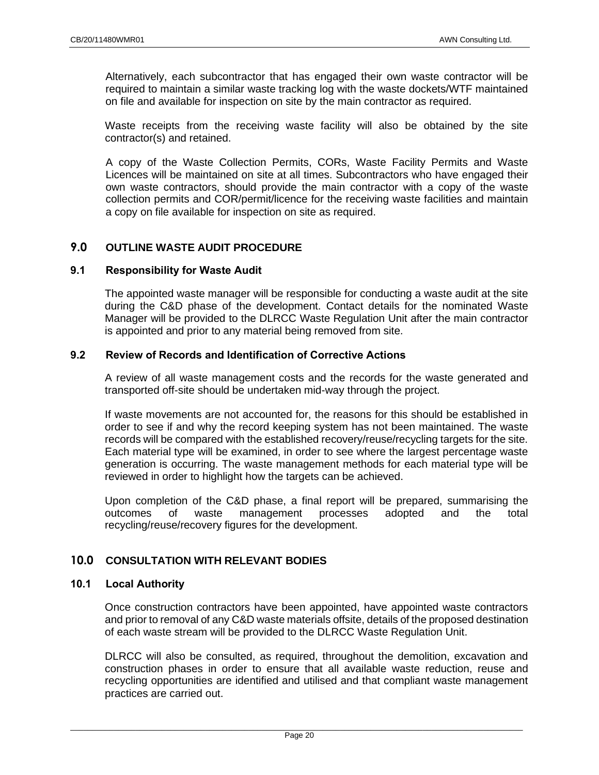Alternatively, each subcontractor that has engaged their own waste contractor will be required to maintain a similar waste tracking log with the waste dockets/WTF maintained on file and available for inspection on site by the main contractor as required.

Waste receipts from the receiving waste facility will also be obtained by the site contractor(s) and retained.

A copy of the Waste Collection Permits, CORs, Waste Facility Permits and Waste Licences will be maintained on site at all times. Subcontractors who have engaged their own waste contractors, should provide the main contractor with a copy of the waste collection permits and COR/permit/licence for the receiving waste facilities and maintain a copy on file available for inspection on site as required.

# <span id="page-20-0"></span>**9.0 OUTLINE WASTE AUDIT PROCEDURE**

#### <span id="page-20-1"></span>**9.1 Responsibility for Waste Audit**

The appointed waste manager will be responsible for conducting a waste audit at the site during the C&D phase of the development. Contact details for the nominated Waste Manager will be provided to the DLRCC Waste Regulation Unit after the main contractor is appointed and prior to any material being removed from site.

# <span id="page-20-2"></span>**9.2 Review of Records and Identification of Corrective Actions**

A review of all waste management costs and the records for the waste generated and transported off-site should be undertaken mid-way through the project.

If waste movements are not accounted for, the reasons for this should be established in order to see if and why the record keeping system has not been maintained. The waste records will be compared with the established recovery/reuse/recycling targets for the site. Each material type will be examined, in order to see where the largest percentage waste generation is occurring. The waste management methods for each material type will be reviewed in order to highlight how the targets can be achieved.

Upon completion of the C&D phase, a final report will be prepared, summarising the outcomes of waste management processes adopted and the total recycling/reuse/recovery figures for the development.

# <span id="page-20-3"></span>**10.0 CONSULTATION WITH RELEVANT BODIES**

#### <span id="page-20-4"></span>**10.1 Local Authority**

Once construction contractors have been appointed, have appointed waste contractors and prior to removal of any C&D waste materials offsite, details of the proposed destination of each waste stream will be provided to the DLRCC Waste Regulation Unit.

DLRCC will also be consulted, as required, throughout the demolition, excavation and construction phases in order to ensure that all available waste reduction, reuse and recycling opportunities are identified and utilised and that compliant waste management practices are carried out.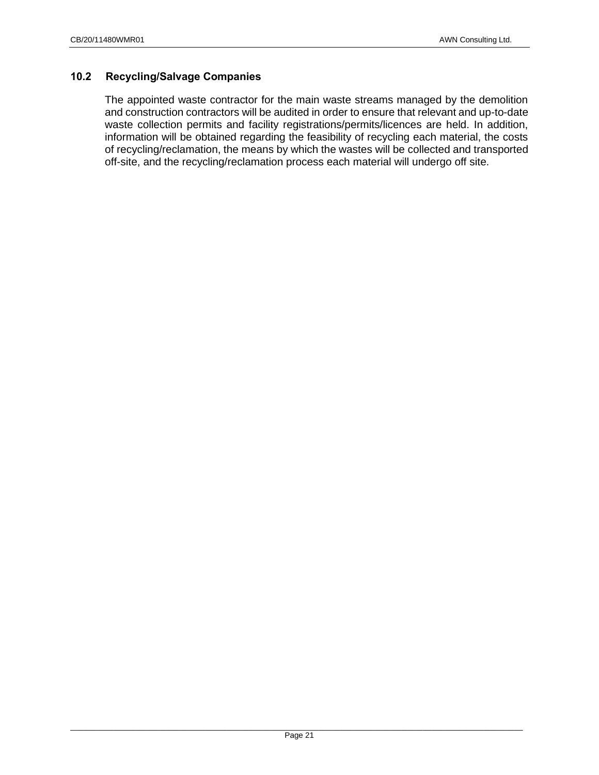# <span id="page-21-0"></span>**10.2 Recycling/Salvage Companies**

The appointed waste contractor for the main waste streams managed by the demolition and construction contractors will be audited in order to ensure that relevant and up-to-date waste collection permits and facility registrations/permits/licences are held. In addition, information will be obtained regarding the feasibility of recycling each material, the costs of recycling/reclamation, the means by which the wastes will be collected and transported off-site, and the recycling/reclamation process each material will undergo off site.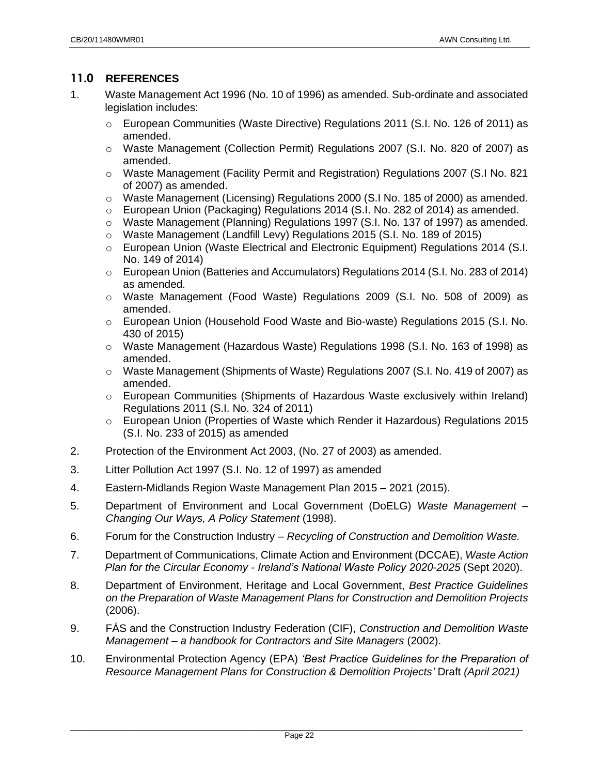# <span id="page-22-0"></span>**11.0 REFERENCES**

- 1. Waste Management Act 1996 (No. 10 of 1996) as amended. Sub-ordinate and associated legislation includes:
	- o European Communities (Waste Directive) Regulations 2011 (S.I. No. 126 of 2011) as amended.
	- o Waste Management (Collection Permit) Regulations 2007 (S.I. No. 820 of 2007) as amended.
	- o Waste Management (Facility Permit and Registration) Regulations 2007 (S.I No. 821 of 2007) as amended.
	- $\circ$  Waste Management (Licensing) Regulations 2000 (S.I No. 185 of 2000) as amended.
	- o European Union (Packaging) Regulations 2014 (S.I. No. 282 of 2014) as amended.
	- $\circ$  Waste Management (Planning) Regulations 1997 (S.I. No. 137 of 1997) as amended.
	- o Waste Management (Landfill Levy) Regulations 2015 (S.I. No. 189 of 2015)
	- o European Union (Waste Electrical and Electronic Equipment) Regulations 2014 (S.I. No. 149 of 2014)
	- $\circ$  European Union (Batteries and Accumulators) Regulations 2014 (S.I. No. 283 of 2014) as amended.
	- o Waste Management (Food Waste) Regulations 2009 (S.I. No. 508 of 2009) as amended.
	- o European Union (Household Food Waste and Bio-waste) Regulations 2015 (S.I. No. 430 of 2015)
	- o Waste Management (Hazardous Waste) Regulations 1998 (S.I. No. 163 of 1998) as amended.
	- o Waste Management (Shipments of Waste) Regulations 2007 (S.I. No. 419 of 2007) as amended.
	- $\circ$  European Communities (Shipments of Hazardous Waste exclusively within Ireland) Regulations 2011 (S.I. No. 324 of 2011)
	- o European Union (Properties of Waste which Render it Hazardous) Regulations 2015 (S.I. No. 233 of 2015) as amended
- 2. Protection of the Environment Act 2003, (No. 27 of 2003) as amended.
- 3. Litter Pollution Act 1997 (S.I. No. 12 of 1997) as amended
- 4. Eastern-Midlands Region Waste Management Plan 2015 2021 (2015).
- 5. Department of Environment and Local Government (DoELG) *Waste Management – Changing Our Ways, A Policy Statement* (1998).
- 6. Forum for the Construction Industry *Recycling of Construction and Demolition Waste.*
- 7. Department of Communications, Climate Action and Environment (DCCAE), *Waste Action Plan for the Circular Economy - Ireland's National Waste Policy 2020-2025* (Sept 2020).
- 8. Department of Environment, Heritage and Local Government, *Best Practice Guidelines on the Preparation of Waste Management Plans for Construction and Demolition Projects*  (2006).
- 9. FÁS and the Construction Industry Federation (CIF), *Construction and Demolition Waste Management – a handbook for Contractors and Site Managers* (2002).
- 10. Environmental Protection Agency (EPA) *'Best Practice Guidelines for the Preparation of Resource Management Plans for Construction & Demolition Projects'* Draft *(April 2021)*